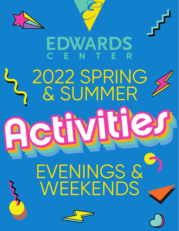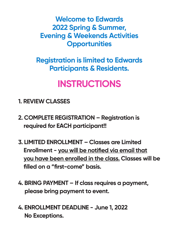**Welcome to Edwards 2022 Spring & Summer, Evening & Weekends Activities Opportunities**

**Registration is limited to Edwards Participants & Residents.**

# **INSTRUCTIONS**

- **1. REVIEW CLASSES**
- **2. COMPLETE REGISTRATION Registration is required for EACH participant!!**
- **3. LIMITED ENROLLMENT Classes are Limited Enrollment - you will be notified via email that you have been enrolled in the class. Classes will be filled on a "first-come" basis.**
- **4. BRING PAYMENT If class requires a payment, please bring payment to event.**
- **4. ENROLLMENT DEADLINE June 1, 2022 No Exceptions.**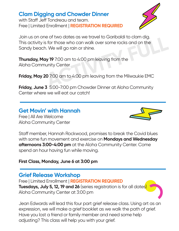## **Clam Digging and Chowder Dinner**

with Staff Jeff Tondreau and team. Free | Limited Enrollment | **REGISTRATION REQUIRED**



Join us on one of two dates as we travel to Garibaldi to clam dig. This activity is for those who can walk over some rocks and on the Sandy beach. We will go rain or shine. **ACTIVITY FULL**

**Thursday, May 19** 7:00 am to 4:00 pm leaving from the Aloha Community Center

**Friday, May 20** 7:00 am to 4:00 pm leaving from the Milwaukie EMC

**Friday, June 3** 5:00-7:00 pm Chowder Dinner at Aloha Community Center where we will eat our catch!

#### **Get Movin' with Hannah**

Free | All Are Welcome Aloha Community Center



Staff member, Hannah Rockwood, promises to break the Covid blues with some fun movement and exercise on **Mondays and Wednesday afternoons 3:00-4:00 pm** at the Aloha Community Center. Come spend an hour having fun while moving.

#### **First Class, Monday, June 6 at 3:00 pm**

#### **Grief Release Workshop**

Free | Limited Enrollment | **REGISTRATION REQUIRED Tuesdays, July 5, 12, 19 and 26** (series registration is for all dates) Aloha Community Center at 3:00 pm

Jean Edwards will lead this four part grief release class. Using art as an expression, we will make a grief booklet as we walk the path of grief. Have you lost a friend or family member and need some help adjusting? This class will help you with your grief.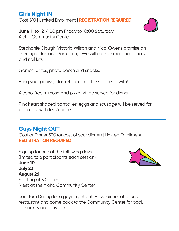# **Girls Night IN**

Cost \$10 | Limited Enrollment | **REGISTRATION REQUIRED**

**June 11 to 12** 4:00 pm Friday to 10:00 Saturday Aloha Community Center

Stephanie Clough, Victoria Wilson and Nicol Owens promise an evening of fun and Pampering. We will provide makeup, facials and nail kits.

Games, prizes, photo booth and snacks.

Bring your pillows, blankets and mattress to sleep with!

Alcohol free mimosa and pizza will be served for dinner.

Pink heart shaped pancakes; eggs and sausage will be served for  $break$ fast with tea/coffee.

# **Guys Night OUT**

Cost of Dinner \$20 (or cost of your dinner) | Limited Enrollment | **REGISTRATION REQUIRED**

Sign up for one of the following days (limited to 6 participants each session) **June 10 July 22 August 26** Starting at 5:00 pm Meet at the Aloha Community Center

Join Tom Duong for a guy's night out. Have dinner at a local restaurant and come back to the Community Center for pool, air hockey and guy talk.



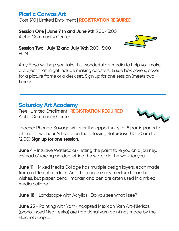## **Plastic Canvas Art**

Cost \$10 | Limited Enrollment | **REGISTRATION REQUIRED**

#### **Session One | June 7 th and June 9th** 3:00- 5:00

Aloha Community Center

#### **Session Two | July 12 and July 14th** 3:00- 5:00

ECM

Amy Boyd will help you take this wonderful art media to help you make a project that might include making coasters, tissue box covers, cover for a picture frame or a desk set. Sign up for one session (meets two times)

# **Saturday Art Academy**

Free | Limited Enrollment | **REGISTRATION REQUIRED** Aloha Community Center



**June 4** - Intuitive Watercolor- letting the paint take you on a journey. Instead of forcing an idea letting the water do the work for you.

**June 11** - Mixed Media Collage has multiple design layers, each made from a different medium. An artist can use any medium he or she wishes, but paper, pencil, marker, and pen are often used in a mixed media collage.

**June 18** - Landscape with Acrylics- Do you see what I see?

**June 25** - Painting with Yarn- Adapted Mexican Yarn Art-Nierikas (pronounced Near-eeka) are traditional yarn paintings made by the Huichol people.